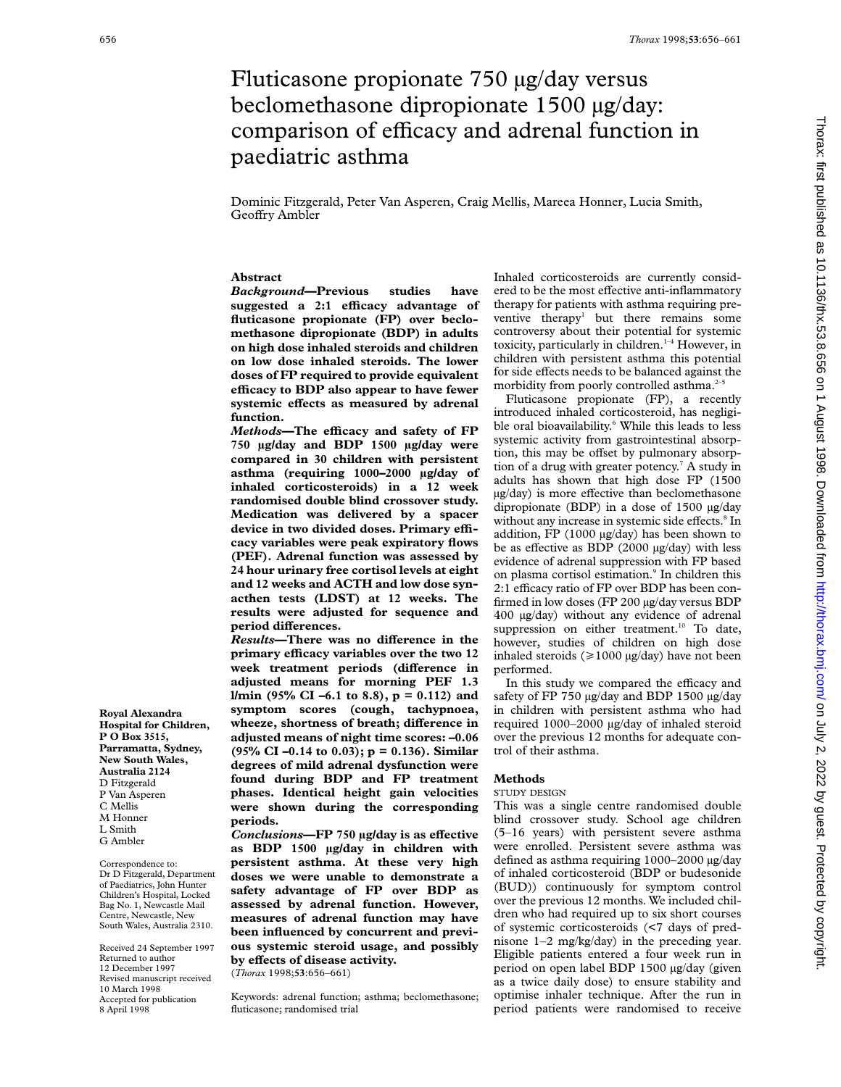# Fluticasone propionate 750 µg/day versus beclomethasone dipropionate 1500 µg/day: comparison of efficacy and adrenal function in paediatric asthma

Dominic Fitzgerald, Peter Van Asperen, Craig Mellis, Mareea Honner, Lucia Smith, Geoffry Ambler

# **Abstract**

*Background***—Previous studies have suggested a 2:1 eYcacy advantage of fluticasone propionate (FP) over beclomethasone dipropionate (BDP) in adults on high dose inhaled steroids and children on low dose inhaled steroids. The lower doses of FP required to provide equivalent eYcacy to BDP also appear to have fewer** systemic effects as measured by adrenal **function.**

*Methods*—The efficacy and safety of FP **750 µg/day and BDP 1500 µg/day were compared in 30 children with persistent asthma (requiring 1000–2000 µg/day of inhaled corticosteroids) in a 12 week randomised double blind crossover study. Medication was delivered by a spacer** device in two divided doses. Primary effi**cacy variables were peak expiratory flows (PEF). Adrenal function was assessed by 24 hour urinary free cortisol levels at eight and 12 weeks and ACTH and low dose synacthen tests (LDST) at 12 weeks. The results were adjusted for sequence and**  $period$  differences.

 $Results$ —There was no difference in the **primary eYcacy variables over the two 12** week treatment periods (difference in **adjusted means for morning PEF 1.3 l/min (95% CI –6.1 to 8.8), p = 0.112) and symptom scores (cough, tachypnoea,** wheeze, shortness of breath; difference in **adjusted means of night time scores: –0.06 (95% CI –0.14 to 0.03); p = 0.136). Similar degrees of mild adrenal dysfunction were found during BDP and FP treatment phases. Identical height gain velocities were shown during the corresponding periods.**

 $Conclusions$ —FP 750 µg/day is as effective **as BDP 1500 µg/day in children with persistent asthma. At these very high doses we were unable to demonstrate a safety advantage of FP over BDP as assessed by adrenal function. However, measures of adrenal function may have been influenced by concurrent and previous systemic steroid usage, and possibly by eVects of disease activity.**

(*Thorax* 1998;**53**:656–661)

Keywords: adrenal function; asthma; beclomethasone; fluticasone; randomised trial

Inhaled corticosteroids are currently considered to be the most effective anti-inflammatory therapy for patients with asthma requiring preventive therapy<sup>1</sup> but there remains some controversy about their potential for systemic toxicity, particularly in children. $1-4$  However, in children with persistent asthma this potential for side effects needs to be balanced against the morbidity from poorly controlled asthma.<sup>2-</sup>

Fluticasone propionate (FP), a recently introduced inhaled corticosteroid, has negligible oral bioavailability.<sup>6</sup> While this leads to less systemic activity from gastrointestinal absorption, this may be offset by pulmonary absorption of a drug with greater potency.<sup>7</sup> A study in adults has shown that high dose FP (1500  $\mu$ g/day) is more effective than beclomethasone dipropionate (BDP) in a dose of 1500 µg/day without any increase in systemic side effects.<sup>8</sup> In addition, FP (1000 µg/day) has been shown to be as effective as BDP (2000  $\mu$ g/day) with less evidence of adrenal suppression with FP based on plasma cortisol estimation.<sup>9</sup> In children this 2:1 efficacy ratio of FP over BDP has been confirmed in low doses (FP 200 µg/day versus BDP 400 µg/day) without any evidence of adrenal suppression on either treatment.<sup>10</sup> To date, however, studies of children on high dose inhaled steroids ( $\geq 1000 \mu g/day$ ) have not been performed.

In this study we compared the efficacy and safety of FP 750 µg/day and BDP 1500 µg/day in children with persistent asthma who had required 1000–2000 µg/day of inhaled steroid over the previous 12 months for adequate control of their asthma.

## **Methods**

#### STUDY DESIGN

This was a single centre randomised double blind crossover study. School age children (5–16 years) with persistent severe asthma were enrolled. Persistent severe asthma was defined as asthma requiring 1000–2000 µg/day of inhaled corticosteroid (BDP or budesonide (BUD)) continuously for symptom control over the previous 12 months. We included children who had required up to six short courses of systemic corticosteroids (<7 days of prednisone 1–2 mg/kg/day) in the preceding year. Eligible patients entered a four week run in period on open label BDP 1500 µg/day (given as a twice daily dose) to ensure stability and optimise inhaler technique. After the run in period patients were randomised to receive

**Royal Alexandra Hospital for Children, P O Box 3515, Parramatta, Sydney, New South Wales, Australia 2124** D Fitzgerald P Van Asperen C Mellis M Honner L Smith

G Ambler

Correspondence to: Dr D Fitzgerald, Department of Paediatrics, John Hunter Children's Hospital, Locked Bag No. 1, Newcastle Mail Centre, Newcastle, New South Wales, Australia 2310.

Received 24 September 1997 Returned to author 12 December 1997 Revised manuscript received 10 March 1998 Accepted for publication 8 April 1998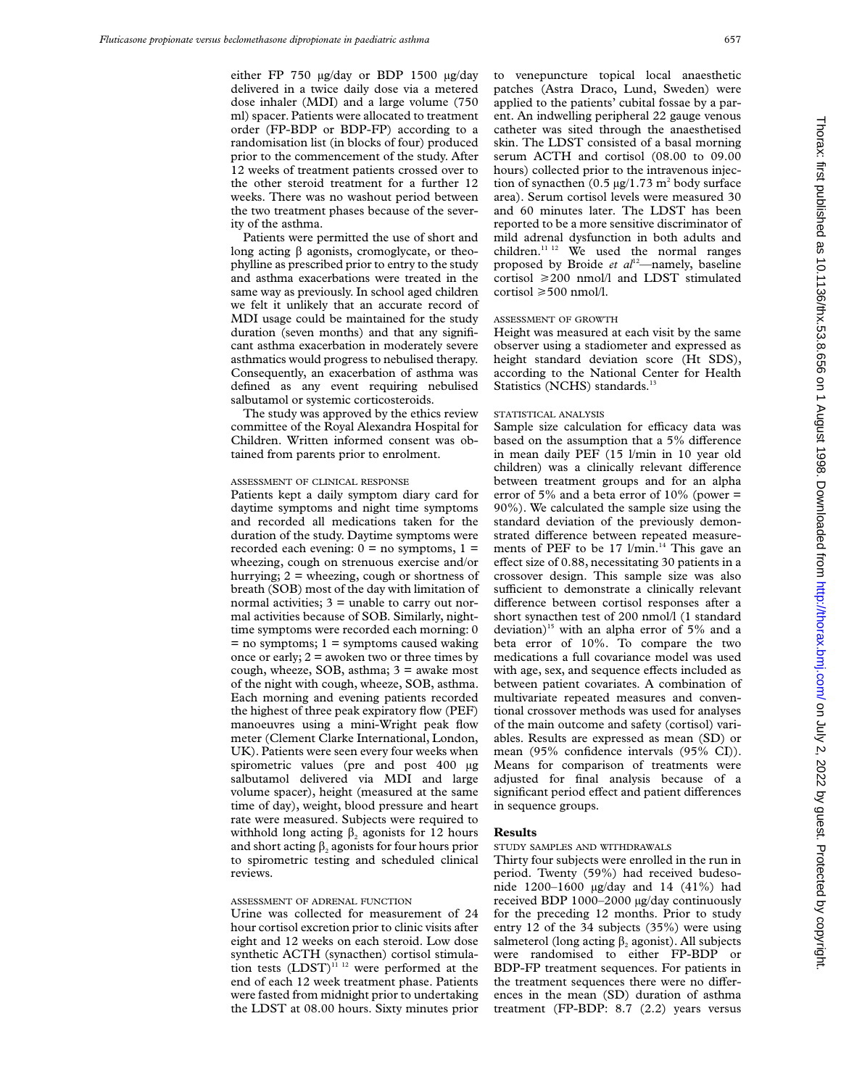either FP 750 µg/day or BDP 1500 µg/day delivered in a twice daily dose via a metered dose inhaler (MDI) and a large volume (750 ml) spacer. Patients were allocated to treatment order (FP-BDP or BDP-FP) according to a randomisation list (in blocks of four) produced prior to the commencement of the study. After 12 weeks of treatment patients crossed over to the other steroid treatment for a further 12 weeks. There was no washout period between the two treatment phases because of the severity of the asthma.

Patients were permitted the use of short and long acting  $\beta$  agonists, cromoglycate, or theophylline as prescribed prior to entry to the study and asthma exacerbations were treated in the same way as previously. In school aged children we felt it unlikely that an accurate record of MDI usage could be maintained for the study duration (seven months) and that any significant asthma exacerbation in moderately severe asthmatics would progress to nebulised therapy. Consequently, an exacerbation of asthma was defined as any event requiring nebulised salbutamol or systemic corticosteroids.

The study was approved by the ethics review committee of the Royal Alexandra Hospital for Children. Written informed consent was obtained from parents prior to enrolment.

## ASSESSMENT OF CLINICAL RESPONSE

Patients kept a daily symptom diary card for daytime symptoms and night time symptoms and recorded all medications taken for the duration of the study. Daytime symptoms were recorded each evening:  $0 = no$  symptoms,  $1 =$ wheezing, cough on strenuous exercise and/or hurrying;  $2 =$  wheezing, cough or shortness of breath (SOB) most of the day with limitation of normal activities; 3 = unable to carry out normal activities because of SOB. Similarly, nighttime symptoms were recorded each morning: 0  $=$  no symptoms; 1  $=$  symptoms caused waking once or early;  $2 =$  awoken two or three times by cough, wheeze, SOB, asthma;  $3 =$  awake most of the night with cough, wheeze, SOB, asthma. Each morning and evening patients recorded the highest of three peak expiratory flow (PEF) manoeuvres using a mini-Wright peak flow meter (Clement Clarke International, London, UK). Patients were seen every four weeks when spirometric values (pre and post 400 µg salbutamol delivered via MDI and large volume spacer), height (measured at the same time of day), weight, blood pressure and heart rate were measured. Subjects were required to withhold long acting  $\beta$ , agonists for 12 hours and short acting  $\beta_2$  agonists for four hours prior to spirometric testing and scheduled clinical reviews.

#### ASSESSMENT OF ADRENAL FUNCTION

Urine was collected for measurement of 24 hour cortisol excretion prior to clinic visits after eight and 12 weeks on each steroid. Low dose synthetic ACTH (synacthen) cortisol stimulation tests  $(LDST)^{11}$ <sup>12</sup> were performed at the end of each 12 week treatment phase. Patients were fasted from midnight prior to undertaking the LDST at 08.00 hours. Sixty minutes prior to venepuncture topical local anaesthetic patches (Astra Draco, Lund, Sweden) were applied to the patients' cubital fossae by a parent. An indwelling peripheral 22 gauge venous catheter was sited through the anaesthetised skin. The LDST consisted of a basal morning serum ACTH and cortisol (08.00 to 09.00 hours) collected prior to the intravenous injection of synacthen  $(0.5 \mu g/1.73 \text{ m}^2 \text{ body surface})$ area). Serum cortisol levels were measured 30 and 60 minutes later. The LDST has been reported to be a more sensitive discriminator of mild adrenal dysfunction in both adults and children.<sup>11 12</sup> We used the normal ranges proposed by Broide *et al*12—namely, baseline cortisol  $\geq 200$  nmol/l and LDST stimulated  $\text{cortisol} \geq 500 \text{ nmol/l}.$ 

# ASSESSMENT OF GROWTH

Height was measured at each visit by the same observer using a stadiometer and expressed as height standard deviation score (Ht SDS), according to the National Center for Health Statistics (NCHS) standards.<sup>13</sup>

## STATISTICAL ANALYSIS

Sample size calculation for efficacy data was based on the assumption that a 5% difference in mean daily PEF (15 l/min in 10 year old children) was a clinically relevant difference between treatment groups and for an alpha error of 5% and a beta error of  $10\%$  (power = 90%). We calculated the sample size using the standard deviation of the previously demonstrated difference between repeated measurements of PEF to be 17 l/min.<sup>14</sup> This gave an effect size of  $0.88$ , necessitating 30 patients in a crossover design. This sample size was also sufficient to demonstrate a clinically relevant difference between cortisol responses after a short synacthen test of 200 nmol/l (1 standard deviation)<sup>15</sup> with an alpha error of 5% and a beta error of 10%. To compare the two medications a full covariance model was used with age, sex, and sequence effects included as between patient covariates. A combination of multivariate repeated measures and conventional crossover methods was used for analyses of the main outcome and safety (cortisol) variables. Results are expressed as mean (SD) or mean (95% confidence intervals (95% CI)). Means for comparison of treatments were adjusted for final analysis because of a significant period effect and patient differences in sequence groups.

### **Results**

#### STUDY SAMPLES AND WITHDRAWALS

Thirty four subjects were enrolled in the run in period. Twenty (59%) had received budesonide 1200–1600 µg/day and 14 (41%) had received BDP 1000–2000 µg/day continuously for the preceding 12 months. Prior to study entry 12 of the 34 subjects (35%) were using salmeterol (long acting  $\beta_2$  agonist). All subjects were randomised to either FP-BDP or BDP-FP treatment sequences. For patients in the treatment sequences there were no differences in the mean (SD) duration of asthma treatment (FP-BDP: 8.7 (2.2) years versus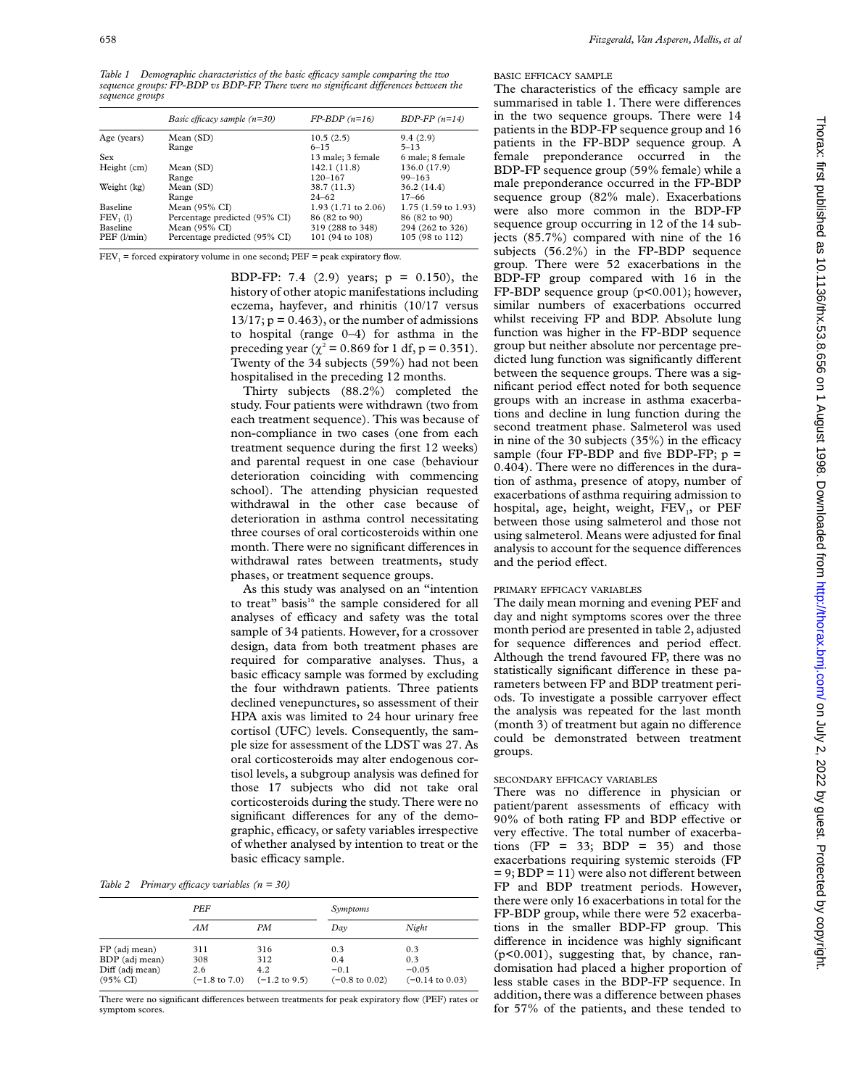658 *Fitzgerald, Van Asperen, Mellis, et al*

*Table 1* Demographic characteristics of the basic efficacy sample comparing the two *sequence groups: FP-BDP vs BDP-FP. There were no significant differences between the sequence groups*

|                   | Basic efficacy sample $(n=30)$ | $FP-BDP(n=16)$                 | $BDP-FP(n=14)$                |
|-------------------|--------------------------------|--------------------------------|-------------------------------|
| Age (years)       | Mean (SD)                      | 10.5(2.5)                      | 9.4(2.9)                      |
|                   | Range                          | $6 - 15$                       | $5 - 13$                      |
| Sex               |                                | 13 male; 3 female              | 6 male; 8 female              |
| Height (cm)       | Mean(SD)                       | 142.1(11.8)                    | 136.0 (17.9)                  |
|                   | Range                          | $120 - 167$                    | $99 - 163$                    |
| Weight (kg)       | Mean(SD)                       | 38.7 (11.3)                    | 36.2(14.4)                    |
|                   | Range                          | $24 - 62$                      | $17 - 66$                     |
| <b>Baseline</b>   | Mean $(95\% \text{ CI})$       | 1.93 $(1.71 \text{ to } 2.06)$ | $1.75(1.59 \text{ to } 1.93)$ |
| FEV, (1)          | Percentage predicted (95% CI)  | 86 (82 to 90)                  | 86 (82 to 90)                 |
| <b>Baseline</b>   | Mean (95% CI)                  | 319 (288 to 348)               | 294 (262 to 326)              |
| $PEF$ ( $l/min$ ) | Percentage predicted (95% CI)  | 101 (94 to 108)                | 105 (98 to 112)               |

 $FEV<sub>1</sub>$  = forced expiratory volume in one second;  $PEF$  = peak expiratory flow.

BDP-FP: 7.4 (2.9) years; p = 0.150), the history of other atopic manifestations including eczema, hayfever, and rhinitis (10/17 versus  $13/17$ ;  $p = 0.463$ , or the number of admissions to hospital (range 0–4) for asthma in the preceding year ( $\chi^2$  = 0.869 for 1 df, p = 0.351). Twenty of the 34 subjects (59%) had not been hospitalised in the preceding 12 months.

Thirty subjects (88.2%) completed the study. Four patients were withdrawn (two from each treatment sequence). This was because of non-compliance in two cases (one from each treatment sequence during the first 12 weeks) and parental request in one case (behaviour deterioration coinciding with commencing school). The attending physician requested withdrawal in the other case because of deterioration in asthma control necessitating three courses of oral corticosteroids within one month. There were no significant differences in withdrawal rates between treatments, study phases, or treatment sequence groups.

As this study was analysed on an "intention to treat" basis<sup>16</sup> the sample considered for all analyses of efficacy and safety was the total sample of 34 patients. However, for a crossover design, data from both treatment phases are required for comparative analyses. Thus, a basic efficacy sample was formed by excluding the four withdrawn patients. Three patients declined venepunctures, so assessment of their HPA axis was limited to 24 hour urinary free cortisol (UFC) levels. Consequently, the sample size for assessment of the LDST was 27. As oral corticosteroids may alter endogenous cortisol levels, a subgroup analysis was defined for those 17 subjects who did not take oral corticosteroids during the study. There were no significant differences for any of the demographic, efficacy, or safety variables irrespective of whether analysed by intention to treat or the basic efficacy sample.

*Table 2 Primary efficacy variables*  $(n = 30)$ 

|                                                                           | PEF               |                                                                        | Symptoms                                          |                                                     |
|---------------------------------------------------------------------------|-------------------|------------------------------------------------------------------------|---------------------------------------------------|-----------------------------------------------------|
|                                                                           | AМ                | PМ                                                                     | Dav                                               | Night                                               |
| FP (adj mean)<br>BDP (adj mean)<br>Diff (adj mean)<br>$(95\% \text{ CI})$ | 311<br>308<br>2.6 | 316<br>312<br>4.2<br>$(-1.8 \text{ to } 7.0)$ $(-1.2 \text{ to } 9.5)$ | 0.3<br>0.4<br>$-0.1$<br>$(-0.8 \text{ to } 0.02)$ | 0.3<br>0.3<br>$-0.05$<br>$(-0.14 \text{ to } 0.03)$ |

There were no significant differences between treatments for peak expiratory flow (PEF) rates or symptom scores.

# BASIC EFFICACY SAMPLE

The characteristics of the efficacy sample are summarised in table 1. There were differences in the two sequence groups. There were 14 patients in the BDP-FP sequence group and 16 patients in the FP-BDP sequence group. A female preponderance occurred in the BDP-FP sequence group (59% female) while a male preponderance occurred in the FP-BDP sequence group (82% male). Exacerbations were also more common in the BDP-FP sequence group occurring in 12 of the 14 subjects (85.7%) compared with nine of the 16 subjects (56.2%) in the FP-BDP sequence group. There were 52 exacerbations in the BDP-FP group compared with 16 in the FP-BDP sequence group (p<0.001); however, similar numbers of exacerbations occurred whilst receiving FP and BDP. Absolute lung function was higher in the FP-BDP sequence group but neither absolute nor percentage predicted lung function was significantly different between the sequence groups. There was a significant period effect noted for both sequence groups with an increase in asthma exacerbations and decline in lung function during the second treatment phase. Salmeterol was used in nine of the 30 subjects  $(35%)$  in the efficacy sample (four FP-BDP and five BDP-FP;  $p =$  $0.404$ ). There were no differences in the duration of asthma, presence of atopy, number of exacerbations of asthma requiring admission to hospital, age, height, weight,  $FEV<sub>1</sub>$ , or  $PEF$ between those using salmeterol and those not using salmeterol. Means were adjusted for final analysis to account for the sequence differences and the period effect.

## PRIMARY EFFICACY VARIABLES

The daily mean morning and evening PEF and day and night symptoms scores over the three month period are presented in table 2, adjusted for sequence differences and period effect. Although the trend favoured FP, there was no statistically significant difference in these parameters between FP and BDP treatment periods. To investigate a possible carryover effect the analysis was repeated for the last month (month 3) of treatment but again no difference could be demonstrated between treatment groups.

# SECONDARY EFFICACY VARIABLES

There was no difference in physician or patient/parent assessments of efficacy with 90% of both rating FP and BDP effective or very effective. The total number of exacerbations (FP =  $33$ ; BDP =  $35$ ) and those exacerbations requiring systemic steroids (FP  $= 9$ ; BDP = 11) were also not different between FP and BDP treatment periods. However, there were only 16 exacerbations in total for the FP-BDP group, while there were 52 exacerbations in the smaller BDP-FP group. This difference in incidence was highly significant (p<0.001), suggesting that, by chance, randomisation had placed a higher proportion of less stable cases in the BDP-FP sequence. In addition, there was a difference between phases for 57% of the patients, and these tended to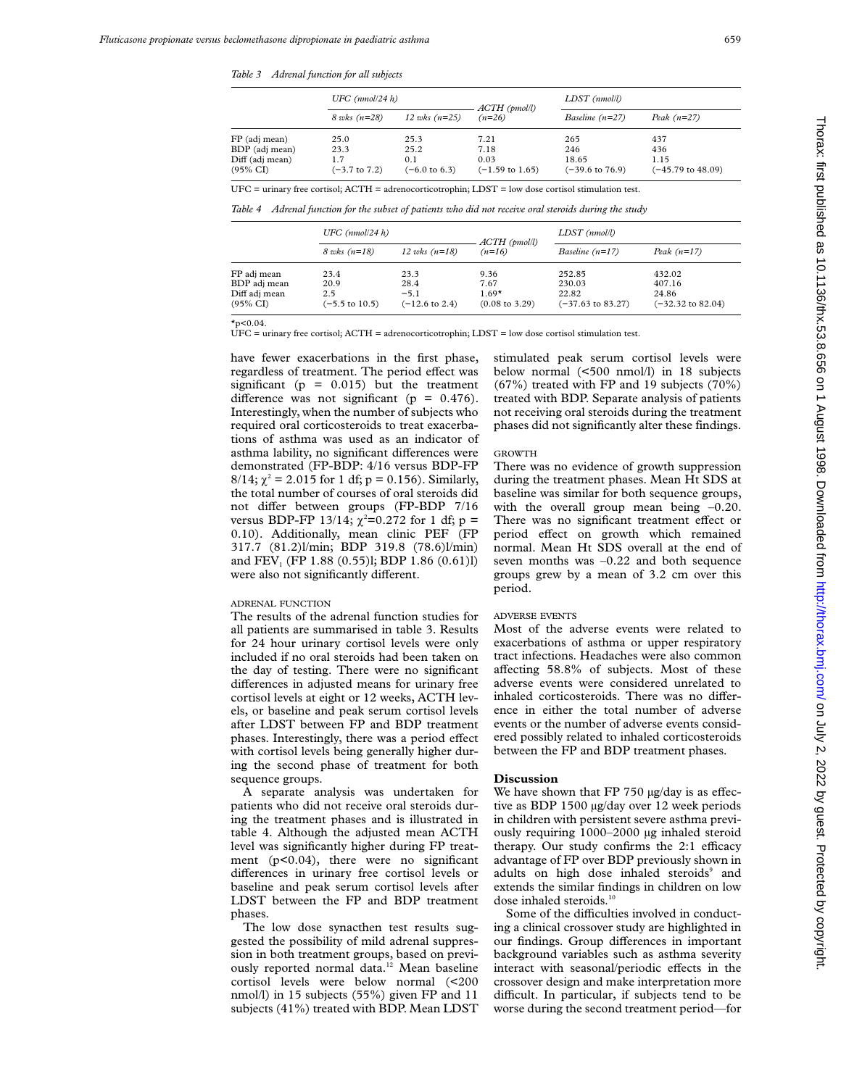*Table 3 Adrenal function for all subjects*

|                                                                           | UFC $(mmol/24 h)$                               |                                                 | $ACTH$ (pmol/l)                                    | LDST (nmol/l)                                     |                                         |
|---------------------------------------------------------------------------|-------------------------------------------------|-------------------------------------------------|----------------------------------------------------|---------------------------------------------------|-----------------------------------------|
|                                                                           | $8$ wks $(n=28)$                                | 12 wks $(n=25)$                                 | $(n=26)$                                           | Baseline $(n=27)$                                 | Peak $(n=27)$                           |
| FP (adj mean)<br>BDP (adj mean)<br>Diff (adj mean)<br>$(95\% \text{ CI})$ | 25.0<br>23.3<br>1.7<br>$(-3.7 \text{ to } 7.2)$ | 25.3<br>25.2<br>0.1<br>$(-6.0 \text{ to } 6.3)$ | 7.21<br>7.18<br>0.03<br>$(-1.59 \text{ to } 1.65)$ | 265<br>246<br>18.65<br>$(-39.6 \text{ to } 76.9)$ | 437<br>436<br>1.15<br>(-45.79 to 48.09) |

UFC = urinary free cortisol; ACTH = adrenocorticotrophin; LDST = low dose cortisol stimulation test.

*Table 4 Adrenal function for the subset of patients who did not receive oral steroids during the study*

|                                                                     | UFC $(mmol/24 h)$                                |                                                     | $ACTH$ (pmol/l)                                      | $LDST$ ( $nmoll$ )                                        |                                                           |
|---------------------------------------------------------------------|--------------------------------------------------|-----------------------------------------------------|------------------------------------------------------|-----------------------------------------------------------|-----------------------------------------------------------|
|                                                                     | $8 \text{ wks} (n=18)$                           | 12 wks $(n=18)$                                     | $(n=16)$                                             | Baseline $(n=17)$                                         | Peak $(n=17)$                                             |
| FP adj mean<br>BDP adj mean<br>Diff adj mean<br>$(95\% \text{ CI})$ | 23.4<br>20.9<br>2.5<br>$(-5.5 \text{ to } 10.5)$ | 23.3<br>28.4<br>$-5.1$<br>$(-12.6 \text{ to } 2.4)$ | 9.36<br>7.67<br>$1.69*$<br>$(0.08 \text{ to } 3.29)$ | 252.85<br>230.03<br>22.82<br>$(-37.63 \text{ to } 83.27)$ | 432.02<br>407.16<br>24.86<br>$(-32.32 \text{ to } 82.04)$ |

 $x_{p<0.04}$ 

UFC = urinary free cortisol; ACTH = adrenocorticotrophin; LDST = low dose cortisol stimulation test.

have fewer exacerbations in the first phase, regardless of treatment. The period effect was significant ( $p = 0.015$ ) but the treatment difference was not significant ( $p = 0.476$ ). Interestingly, when the number of subjects who required oral corticosteroids to treat exacerbations of asthma was used as an indicator of asthma lability, no significant differences were demonstrated (FP-BDP: 4/16 versus BDP-FP  $8/14$ ;  $\chi^2 = 2.015$  for 1 df; p = 0.156). Similarly, the total number of courses of oral steroids did not differ between groups (FP-BDP 7/16 versus BDP-FP 13/14;  $\chi^2$ =0.272 for 1 df; p = 0.10). Additionally, mean clinic PEF (FP 317.7 (81.2)l/min; BDP 319.8 (78.6)l/min) and FEV<sub>1</sub> (FP 1.88 (0.55)l; BDP 1.86 (0.61)l) were also not significantly different.

#### ADRENAL FUNCTION

The results of the adrenal function studies for all patients are summarised in table 3. Results for 24 hour urinary cortisol levels were only included if no oral steroids had been taken on the day of testing. There were no significant differences in adjusted means for urinary free cortisol levels at eight or 12 weeks, ACTH levels, or baseline and peak serum cortisol levels after LDST between FP and BDP treatment phases. Interestingly, there was a period effect with cortisol levels being generally higher during the second phase of treatment for both sequence groups.

A separate analysis was undertaken for patients who did not receive oral steroids during the treatment phases and is illustrated in table 4. Although the adjusted mean ACTH level was significantly higher during FP treatment (p<0.04), there were no significant differences in urinary free cortisol levels or baseline and peak serum cortisol levels after LDST between the FP and BDP treatment phases.

The low dose synacthen test results suggested the possibility of mild adrenal suppression in both treatment groups, based on previously reported normal data.<sup>12</sup> Mean baseline cortisol levels were below normal (<200 nmol/l) in 15 subjects (55%) given FP and 11 subjects (41%) treated with BDP. Mean LDST stimulated peak serum cortisol levels were below normal (<500 nmol/l) in 18 subjects (67%) treated with FP and 19 subjects (70%) treated with BDP. Separate analysis of patients not receiving oral steroids during the treatment phases did not significantly alter these findings.

#### GROWTH

There was no evidence of growth suppression during the treatment phases. Mean Ht SDS at baseline was similar for both sequence groups, with the overall group mean being  $-0.20$ . There was no significant treatment effect or period effect on growth which remained normal. Mean Ht SDS overall at the end of seven months was  $-0.22$  and both sequence groups grew by a mean of 3.2 cm over this period.

#### ADVERSE EVENTS

Most of the adverse events were related to exacerbations of asthma or upper respiratory tract infections. Headaches were also common affecting  $58.8\%$  of subjects. Most of these adverse events were considered unrelated to inhaled corticosteroids. There was no difference in either the total number of adverse events or the number of adverse events considered possibly related to inhaled corticosteroids between the FP and BDP treatment phases.

#### **Discussion**

We have shown that  $FP 750 \mu g/day$  is as effective as BDP 1500 µg/day over 12 week periods in children with persistent severe asthma previously requiring 1000–2000 µg inhaled steroid therapy. Our study confirms the  $2:1$  efficacy advantage of FP over BDP previously shown in adults on high dose inhaled steroids<sup>9</sup> and extends the similar findings in children on low dose inhaled steroids.<sup>11</sup>

Some of the difficulties involved in conducting a clinical crossover study are highlighted in our findings. Group differences in important background variables such as asthma severity interact with seasonal/periodic effects in the crossover design and make interpretation more difficult. In particular, if subjects tend to be worse during the second treatment period—for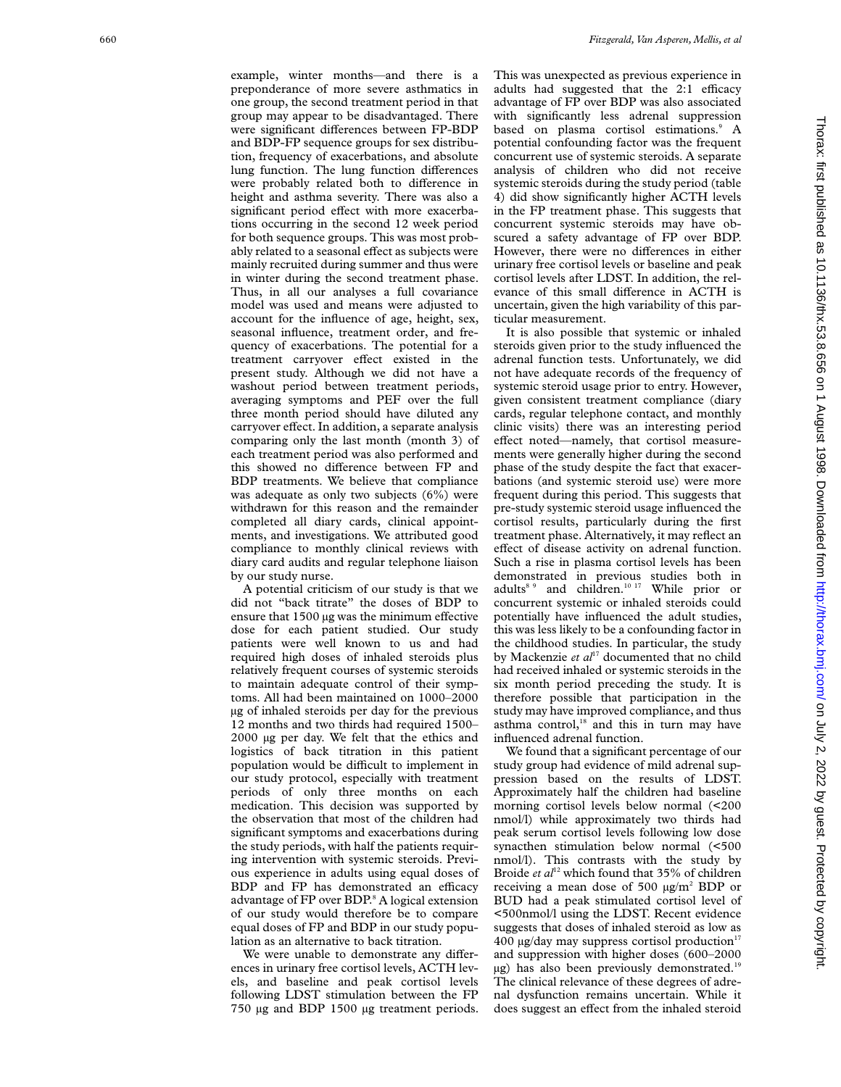example, winter months—and there is a preponderance of more severe asthmatics in one group, the second treatment period in that group may appear to be disadvantaged. There were significant differences between FP-BDP and BDP-FP sequence groups for sex distribution, frequency of exacerbations, and absolute lung function. The lung function differences were probably related both to difference in height and asthma severity. There was also a significant period effect with more exacerbations occurring in the second 12 week period for both sequence groups. This was most probably related to a seasonal effect as subjects were mainly recruited during summer and thus were in winter during the second treatment phase. Thus, in all our analyses a full covariance model was used and means were adjusted to account for the influence of age, height, sex, seasonal influence, treatment order, and frequency of exacerbations. The potential for a treatment carryover effect existed in the present study. Although we did not have a washout period between treatment periods, averaging symptoms and PEF over the full three month period should have diluted any carryover effect. In addition, a separate analysis comparing only the last month (month 3) of each treatment period was also performed and this showed no difference between FP and BDP treatments. We believe that compliance was adequate as only two subjects (6%) were withdrawn for this reason and the remainder completed all diary cards, clinical appointments, and investigations. We attributed good compliance to monthly clinical reviews with diary card audits and regular telephone liaison by our study nurse.

A potential criticism of our study is that we did not "back titrate" the doses of BDP to ensure that 1500 µg was the minimum effective dose for each patient studied. Our study patients were well known to us and had required high doses of inhaled steroids plus relatively frequent courses of systemic steroids to maintain adequate control of their symptoms. All had been maintained on 1000–2000 µg of inhaled steroids per day for the previous 12 months and two thirds had required 1500– 2000 µg per day. We felt that the ethics and logistics of back titration in this patient population would be difficult to implement in our study protocol, especially with treatment periods of only three months on each medication. This decision was supported by the observation that most of the children had significant symptoms and exacerbations during the study periods, with half the patients requiring intervention with systemic steroids. Previous experience in adults using equal doses of BDP and FP has demonstrated an efficacy advantage of FP over BDP. <sup>8</sup> A logical extension of our study would therefore be to compare equal doses of FP and BDP in our study population as an alternative to back titration.

We were unable to demonstrate any differences in urinary free cortisol levels, ACTH levels, and baseline and peak cortisol levels following LDST stimulation between the FP 750 µg and BDP 1500 µg treatment periods. This was unexpected as previous experience in adults had suggested that the  $2:1$  efficacy advantage of FP over BDP was also associated with significantly less adrenal suppression based on plasma cortisol estimations.<sup>9</sup> A potential confounding factor was the frequent concurrent use of systemic steroids. A separate analysis of children who did not receive systemic steroids during the study period (table 4) did show significantly higher ACTH levels in the FP treatment phase. This suggests that concurrent systemic steroids may have obscured a safety advantage of FP over BDP. However, there were no differences in either urinary free cortisol levels or baseline and peak cortisol levels after LDST. In addition, the relevance of this small difference in ACTH is uncertain, given the high variability of this particular measurement.

It is also possible that systemic or inhaled steroids given prior to the study influenced the adrenal function tests. Unfortunately, we did not have adequate records of the frequency of systemic steroid usage prior to entry. However, given consistent treatment compliance (diary cards, regular telephone contact, and monthly clinic visits) there was an interesting period effect noted—namely, that cortisol measurements were generally higher during the second phase of the study despite the fact that exacerbations (and systemic steroid use) were more frequent during this period. This suggests that pre-study systemic steroid usage influenced the cortisol results, particularly during the first treatment phase. Alternatively, it may reflect an effect of disease activity on adrenal function. Such a rise in plasma cortisol levels has been demonstrated in previous studies both in adults<sup>8 9</sup> and children.<sup>10 17</sup> While prior or concurrent systemic or inhaled steroids could potentially have influenced the adult studies, this was less likely to be a confounding factor in the childhood studies. In particular, the study by Mackenzie *et al*<sup>17</sup> documented that no child had received inhaled or systemic steroids in the six month period preceding the study. It is therefore possible that participation in the study may have improved compliance, and thus asthma control,<sup>18</sup> and this in turn may have influenced adrenal function.

We found that a significant percentage of our study group had evidence of mild adrenal suppression based on the results of LDST. Approximately half the children had baseline morning cortisol levels below normal (<200 nmol/l) while approximately two thirds had peak serum cortisol levels following low dose synacthen stimulation below normal (<500 nmol/l). This contrasts with the study by Broide *et al*<sup>12</sup> which found that 35% of children receiving a mean dose of 500 µg/m <sup>2</sup> BDP or BUD had a peak stimulated cortisol level of <500nmol/l using the LDST. Recent evidence suggests that doses of inhaled steroid as low as  $400 \mu g/day$  may suppress cortisol production<sup>17</sup> and suppression with higher doses (600–2000  $\mu$ g) has also been previously demonstrated.<sup>19</sup> The clinical relevance of these degrees of adrenal dysfunction remains uncertain. While it does suggest an effect from the inhaled steroid